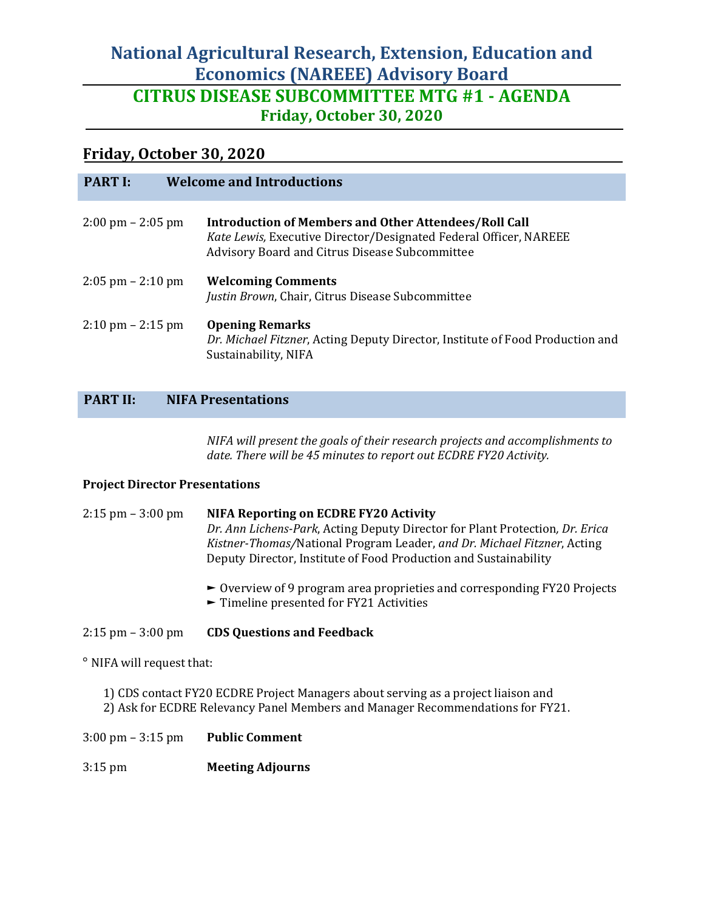# **National Agricultural Research, Extension, Education and Economics (NAREEE) Advisory Board CITRUS DISEASE SUBCOMMITTEE MTG #1 - AGENDA Friday, October 30, 2020**

## **Friday, October 30, 2020**

| <b>PART I:</b>                      | <b>Welcome and Introductions</b>                                                                                                                                                    |
|-------------------------------------|-------------------------------------------------------------------------------------------------------------------------------------------------------------------------------------|
| $2:00 \text{ pm} - 2:05 \text{ pm}$ | <b>Introduction of Members and Other Attendees/Roll Call</b><br>Kate Lewis, Executive Director/Designated Federal Officer, NAREEE<br>Advisory Board and Citrus Disease Subcommittee |
| $2:05$ pm $- 2:10$ pm               | <b>Welcoming Comments</b><br>Justin Brown, Chair, Citrus Disease Subcommittee                                                                                                       |
| $2:10 \text{ pm} - 2:15 \text{ pm}$ | <b>Opening Remarks</b><br>Dr. Michael Fitzner, Acting Deputy Director, Institute of Food Production and<br>Sustainability, NIFA                                                     |

#### **PART II: NIFA Presentations**

*NIFA will present the goals of their research projects and accomplishments to date. There will be 45 minutes to report out ECDRE FY20 Activity.*

#### **Project Director Presentations**

2:15 pm – 3:00 pm **NIFA Reporting on ECDRE FY20 Activity** *Dr. Ann Lichens-Park*, Acting Deputy Director for Plant Protection*, Dr. Erica Kistner-Thomas/*National Program Leader, *and Dr. Michael Fitzner*, Acting Deputy Director, Institute of Food Production and Sustainability

- ► Overview of 9 program area proprieties and corresponding FY20 Projects
- ► Timeline presented for FY21 Activities

#### 2:15 pm – 3:00 pm **CDS Questions and Feedback**

° NIFA will request that:

- 1) CDS contact FY20 ECDRE Project Managers about serving as a project liaison and 2) Ask for ECDRE Relevancy Panel Members and Manager Recommendations for FY21.
- 3:00 pm 3:15 pm **Public Comment**
- 3:15 pm **Meeting Adjourns**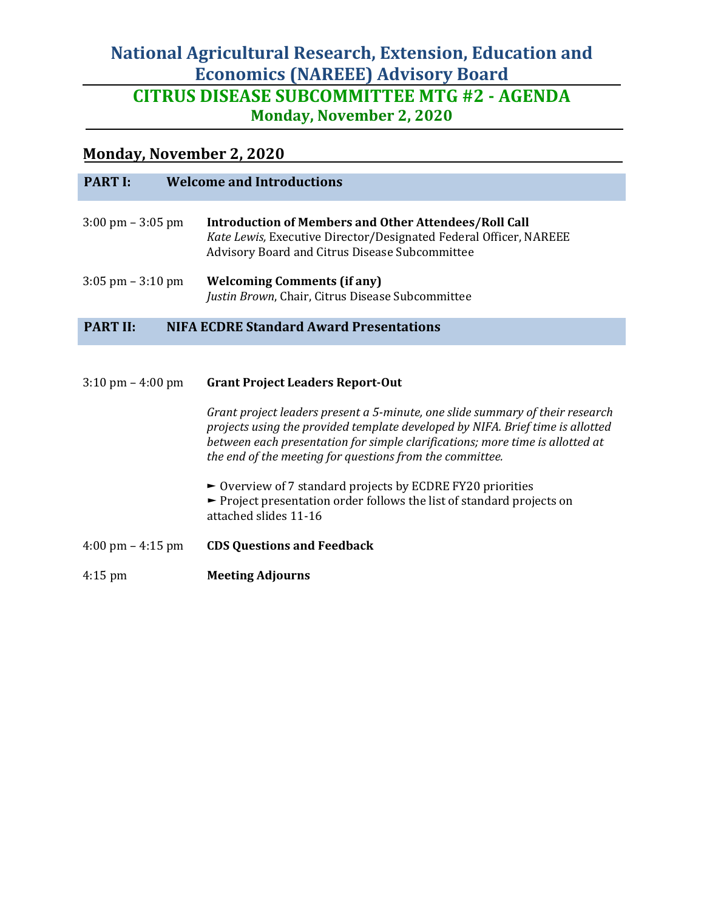# **National Agricultural Research, Extension, Education and Economics (NAREEE) Advisory Board CITRUS DISEASE SUBCOMMITTEE MTG #2 - AGENDA Monday, November 2, 2020**

## **Monday, November 2, 2020**

| <b>PART I:</b>                      | <b>Welcome and Introductions</b>                                                                                                                                                    |
|-------------------------------------|-------------------------------------------------------------------------------------------------------------------------------------------------------------------------------------|
| $3:00 \text{ pm} - 3:05 \text{ pm}$ | <b>Introduction of Members and Other Attendees/Roll Call</b><br>Kate Lewis, Executive Director/Designated Federal Officer, NAREEE<br>Advisory Board and Citrus Disease Subcommittee |
| $3:05 \text{ pm} - 3:10 \text{ pm}$ | <b>Welcoming Comments (if any)</b><br>Justin Brown, Chair, Citrus Disease Subcommittee                                                                                              |
| <b>PART II:</b>                     | <b>NIFA ECDRE Standard Award Presentations</b>                                                                                                                                      |

| $3:10 \text{ pm} - 4:00 \text{ pm}$ | <b>Grant Project Leaders Report-Out</b>                                                                                                                                                                                                                                                                      |
|-------------------------------------|--------------------------------------------------------------------------------------------------------------------------------------------------------------------------------------------------------------------------------------------------------------------------------------------------------------|
|                                     | Grant project leaders present a 5-minute, one slide summary of their research<br>projects using the provided template developed by NIFA. Brief time is allotted<br>between each presentation for simple clarifications; more time is allotted at<br>the end of the meeting for questions from the committee. |
|                                     | $\triangleright$ Overview of 7 standard projects by ECDRE FY20 priorities<br>$\blacktriangleright$ Project presentation order follows the list of standard projects on<br>attached slides 11-16                                                                                                              |
| $4:00 \text{ pm} - 4:15 \text{ pm}$ | <b>CDS Questions and Feedback</b>                                                                                                                                                                                                                                                                            |
| $4:15 \text{ pm}$                   | <b>Meeting Adjourns</b>                                                                                                                                                                                                                                                                                      |